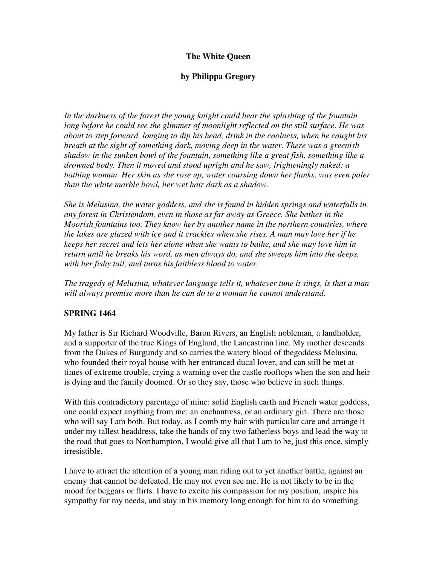## **The White Queen**

## **by Philippa Gregory**

*In the darkness of the forest the young knight could hear the splashing of the fountain long before he could see the glimmer of moonlight reflected on the still surface. He was about to step forward, longing to dip his head, drink in the coolness, when he caught his breath at the sight of something dark, moving deep in the water. There was a greenish shadow in the sunken bowl of the fountain, something like a great fish, something like a drowned body. Then it moved and stood upright and he saw, frighteningly naked: a bathing woman. Her skin as she rose up, water coursing down her flanks, was even paler than the white marble bowl, her wet hair dark as a shadow.*

*She is Melusina, the water goddess, and she is found in hidden springs and waterfalls in any forest in Christendom, even in those as far away as Greece. She bathes in the Moorish fountains too. They know her by another name in the northern countries, where the lakes are glazed with ice and it crackles when she rises. A man may love her if he keeps her secret and lets her alone when she wants to bathe, and she may love him in return until he breaks his word, as men always do, and she sweeps him into the deeps, with her fishy tail, and turns his faithless blood to water.*

*The tragedy of Melusina, whatever language tells it, whatever tune it sings, is that a man will always promise more than he can do to a woman he cannot understand.*

## **SPRING 1464**

My father is Sir Richard Woodville, Baron Rivers, an English nobleman, a landholder, and a supporter of the true Kings of England, the Lancastrian line. My mother descends from the Dukes of Burgundy and so carries the watery blood of thegoddess Melusina, who founded their royal house with her entranced ducal lover, and can still be met at times of extreme trouble, crying a warning over the castle rooftops when the son and heir is dying and the family doomed. Or so they say, those who believe in such things.

With this contradictory parentage of mine: solid English earth and French water goddess, one could expect anything from me: an enchantress, or an ordinary girl. There are those who will say I am both. But today, as I comb my hair with particular care and arrange it under my tallest headdress, take the hands of my two fatherless boys and lead the way to the road that goes to Northampton, I would give all that I am to be, just this once, simply irresistible.

I have to attract the attention of a young man riding out to yet another battle, against an enemy that cannot be defeated. He may not even see me. He is not likely to be in the mood for beggars or flirts. I have to excite his compassion for my position, inspire his sympathy for my needs, and stay in his memory long enough for him to do something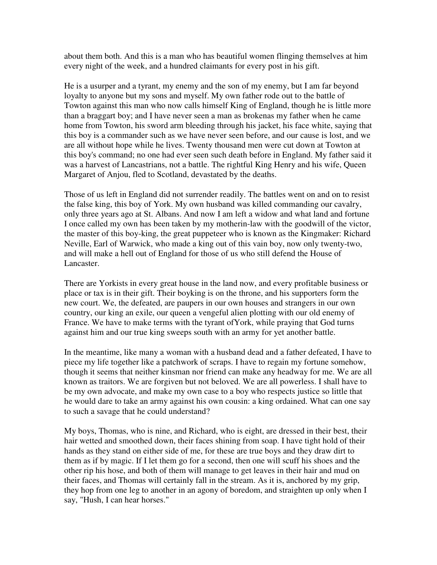about them both. And this is a man who has beautiful women flinging themselves at him every night of the week, and a hundred claimants for every post in his gift.

He is a usurper and a tyrant, my enemy and the son of my enemy, but I am far beyond loyalty to anyone but my sons and myself. My own father rode out to the battle of Towton against this man who now calls himself King of England, though he is little more than a braggart boy; and I have never seen a man as brokenas my father when he came home from Towton, his sword arm bleeding through his jacket, his face white, saying that this boy is a commander such as we have never seen before, and our cause is lost, and we are all without hope while he lives. Twenty thousand men were cut down at Towton at this boy's command; no one had ever seen such death before in England. My father said it was a harvest of Lancastrians, not a battle. The rightful King Henry and his wife, Queen Margaret of Anjou, fled to Scotland, devastated by the deaths.

Those of us left in England did not surrender readily. The battles went on and on to resist the false king, this boy of York. My own husband was killed commanding our cavalry, only three years ago at St. Albans. And now I am left a widow and what land and fortune I once called my own has been taken by my motherin-law with the goodwill of the victor, the master of this boy-king, the great puppeteer who is known as the Kingmaker: Richard Neville, Earl of Warwick, who made a king out of this vain boy, now only twenty-two, and will make a hell out of England for those of us who still defend the House of Lancaster.

There are Yorkists in every great house in the land now, and every profitable business or place or tax is in their gift. Their boyking is on the throne, and his supporters form the new court. We, the defeated, are paupers in our own houses and strangers in our own country, our king an exile, our queen a vengeful alien plotting with our old enemy of France. We have to make terms with the tyrant ofYork, while praying that God turns against him and our true king sweeps south with an army for yet another battle.

In the meantime, like many a woman with a husband dead and a father defeated, I have to piece my life together like a patchwork of scraps. I have to regain my fortune somehow, though it seems that neither kinsman nor friend can make any headway for me. We are all known as traitors. We are forgiven but not beloved. We are all powerless. I shall have to be my own advocate, and make my own case to a boy who respects justice so little that he would dare to take an army against his own cousin: a king ordained. What can one say to such a savage that he could understand?

My boys, Thomas, who is nine, and Richard, who is eight, are dressed in their best, their hair wetted and smoothed down, their faces shining from soap. I have tight hold of their hands as they stand on either side of me, for these are true boys and they draw dirt to them as if by magic. If I let them go for a second, then one will scuff his shoes and the other rip his hose, and both of them will manage to get leaves in their hair and mud on their faces, and Thomas will certainly fall in the stream. As it is, anchored by my grip, they hop from one leg to another in an agony of boredom, and straighten up only when I say, "Hush, I can hear horses."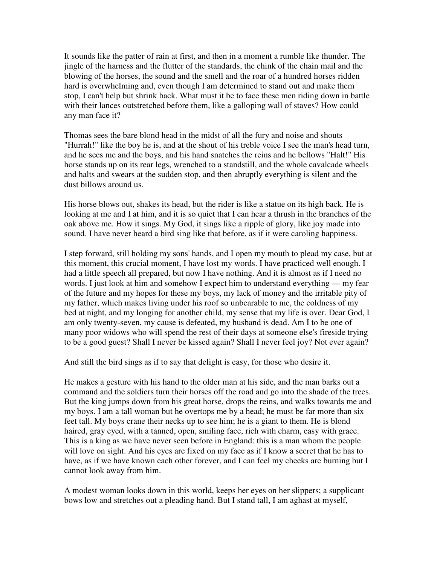It sounds like the patter of rain at first, and then in a moment a rumble like thunder. The jingle of the harness and the flutter of the standards, the chink of the chain mail and the blowing of the horses, the sound and the smell and the roar of a hundred horses ridden hard is overwhelming and, even though I am determined to stand out and make them stop, I can't help but shrink back. What must it be to face these men riding down in battle with their lances outstretched before them, like a galloping wall of staves? How could any man face it?

Thomas sees the bare blond head in the midst of all the fury and noise and shouts "Hurrah!" like the boy he is, and at the shout of his treble voice I see the man's head turn, and he sees me and the boys, and his hand snatches the reins and he bellows "Halt!" His horse stands up on its rear legs, wrenched to a standstill, and the whole cavalcade wheels and halts and swears at the sudden stop, and then abruptly everything is silent and the dust billows around us.

His horse blows out, shakes its head, but the rider is like a statue on its high back. He is looking at me and I at him, and it is so quiet that I can hear a thrush in the branches of the oak above me. How it sings. My God, it sings like a ripple of glory, like joy made into sound. I have never heard a bird sing like that before, as if it were caroling happiness.

I step forward, still holding my sons' hands, and I open my mouth to plead my case, but at this moment, this crucial moment, I have lost my words. I have practiced well enough. I had a little speech all prepared, but now I have nothing. And it is almost as if I need no words. I just look at him and somehow I expect him to understand everything — my fear of the future and my hopes for these my boys, my lack of money and the irritable pity of my father, which makes living under his roof so unbearable to me, the coldness of my bed at night, and my longing for another child, my sense that my life is over. Dear God, I am only twenty-seven, my cause is defeated, my husband is dead. Am I to be one of many poor widows who will spend the rest of their days at someone else's fireside trying to be a good guest? Shall I never be kissed again? Shall I never feel joy? Not ever again?

And still the bird sings as if to say that delight is easy, for those who desire it.

He makes a gesture with his hand to the older man at his side, and the man barks out a command and the soldiers turn their horses off the road and go into the shade of the trees. But the king jumps down from his great horse, drops the reins, and walks towards me and my boys. I am a tall woman but he overtops me by a head; he must be far more than six feet tall. My boys crane their necks up to see him; he is a giant to them. He is blond haired, gray eyed, with a tanned, open, smiling face, rich with charm, easy with grace. This is a king as we have never seen before in England: this is a man whom the people will love on sight. And his eyes are fixed on my face as if I know a secret that he has to have, as if we have known each other forever, and I can feel my cheeks are burning but I cannot look away from him.

A modest woman looks down in this world, keeps her eyes on her slippers; a supplicant bows low and stretches out a pleading hand. But I stand tall, I am aghast at myself,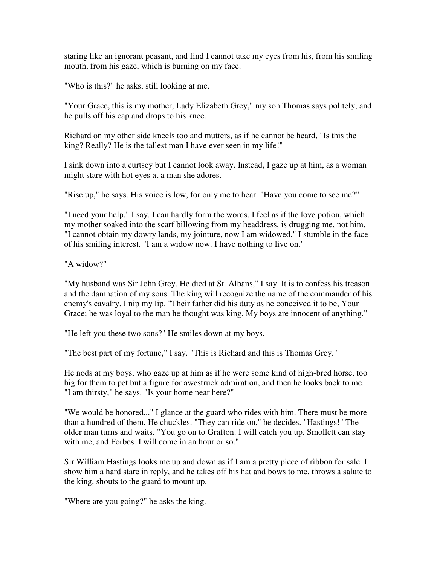staring like an ignorant peasant, and find I cannot take my eyes from his, from his smiling mouth, from his gaze, which is burning on my face.

"Who is this?" he asks, still looking at me.

"Your Grace, this is my mother, Lady Elizabeth Grey," my son Thomas says politely, and he pulls off his cap and drops to his knee.

Richard on my other side kneels too and mutters, as if he cannot be heard, "Is this the king? Really? He is the tallest man I have ever seen in my life!"

I sink down into a curtsey but I cannot look away. Instead, I gaze up at him, as a woman might stare with hot eyes at a man she adores.

"Rise up," he says. His voice is low, for only me to hear. "Have you come to see me?"

"I need your help," I say. I can hardly form the words. I feel as if the love potion, which my mother soaked into the scarf billowing from my headdress, is drugging me, not him. "I cannot obtain my dowry lands, my jointure, now I am widowed." I stumble in the face of his smiling interest. "I am a widow now. I have nothing to live on."

"A widow?"

"My husband was Sir John Grey. He died at St. Albans," I say. It is to confess his treason and the damnation of my sons. The king will recognize the name of the commander of his enemy's cavalry. I nip my lip. "Their father did his duty as he conceived it to be, Your Grace; he was loyal to the man he thought was king. My boys are innocent of anything."

"He left you these two sons?" He smiles down at my boys.

"The best part of my fortune," I say. "This is Richard and this is Thomas Grey."

He nods at my boys, who gaze up at him as if he were some kind of high-bred horse, too big for them to pet but a figure for awestruck admiration, and then he looks back to me. "I am thirsty," he says. "Is your home near here?"

"We would be honored..." I glance at the guard who rides with him. There must be more than a hundred of them. He chuckles. "They can ride on," he decides. "Hastings!" The older man turns and waits. "You go on to Grafton. I will catch you up. Smollett can stay with me, and Forbes. I will come in an hour or so."

Sir William Hastings looks me up and down as if I am a pretty piece of ribbon for sale. I show him a hard stare in reply, and he takes off his hat and bows to me, throws a salute to the king, shouts to the guard to mount up.

"Where are you going?" he asks the king.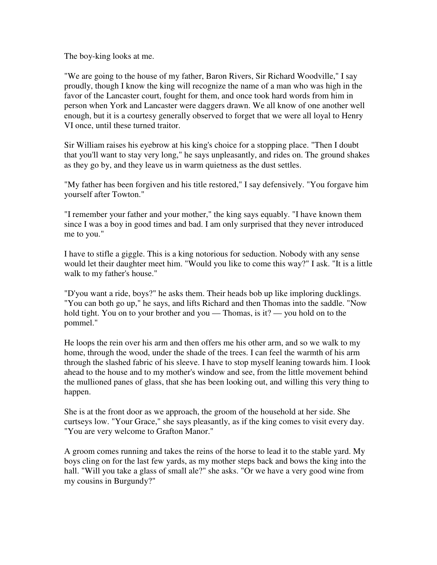The boy-king looks at me.

"We are going to the house of my father, Baron Rivers, Sir Richard Woodville," I say proudly, though I know the king will recognize the name of a man who was high in the favor of the Lancaster court, fought for them, and once took hard words from him in person when York and Lancaster were daggers drawn. We all know of one another well enough, but it is a courtesy generally observed to forget that we were all loyal to Henry VI once, until these turned traitor.

Sir William raises his eyebrow at his king's choice for a stopping place. "Then I doubt that you'll want to stay very long," he says unpleasantly, and rides on. The ground shakes as they go by, and they leave us in warm quietness as the dust settles.

"My father has been forgiven and his title restored," I say defensively. "You forgave him yourself after Towton."

"I remember your father and your mother," the king says equably. "I have known them since I was a boy in good times and bad. I am only surprised that they never introduced me to you."

I have to stifle a giggle. This is a king notorious for seduction. Nobody with any sense would let their daughter meet him. "Would you like to come this way?" I ask. "It is a little walk to my father's house."

"D'you want a ride, boys?" he asks them. Their heads bob up like imploring ducklings. "You can both go up," he says, and lifts Richard and then Thomas into the saddle. "Now hold tight. You on to your brother and you — Thomas, is it? — you hold on to the pommel."

He loops the rein over his arm and then offers me his other arm, and so we walk to my home, through the wood, under the shade of the trees. I can feel the warmth of his arm through the slashed fabric of his sleeve. I have to stop myself leaning towards him. I look ahead to the house and to my mother's window and see, from the little movement behind the mullioned panes of glass, that she has been looking out, and willing this very thing to happen.

She is at the front door as we approach, the groom of the household at her side. She curtseys low. "Your Grace," she says pleasantly, as if the king comes to visit every day. "You are very welcome to Grafton Manor."

A groom comes running and takes the reins of the horse to lead it to the stable yard. My boys cling on for the last few yards, as my mother steps back and bows the king into the hall. "Will you take a glass of small ale?" she asks. "Or we have a very good wine from my cousins in Burgundy?"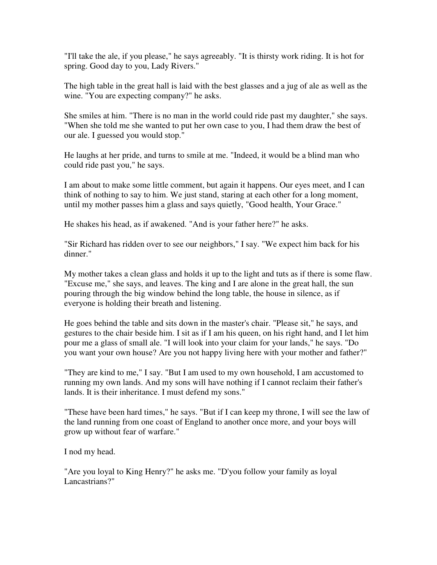"I'll take the ale, if you please," he says agreeably. "It is thirsty work riding. It is hot for spring. Good day to you, Lady Rivers."

The high table in the great hall is laid with the best glasses and a jug of ale as well as the wine. "You are expecting company?" he asks.

She smiles at him. "There is no man in the world could ride past my daughter," she says. "When she told me she wanted to put her own case to you, I had them draw the best of our ale. I guessed you would stop."

He laughs at her pride, and turns to smile at me. "Indeed, it would be a blind man who could ride past you," he says.

I am about to make some little comment, but again it happens. Our eyes meet, and I can think of nothing to say to him. We just stand, staring at each other for a long moment, until my mother passes him a glass and says quietly, "Good health, Your Grace."

He shakes his head, as if awakened. "And is your father here?" he asks.

"Sir Richard has ridden over to see our neighbors," I say. "We expect him back for his dinner."

My mother takes a clean glass and holds it up to the light and tuts as if there is some flaw. "Excuse me," she says, and leaves. The king and I are alone in the great hall, the sun pouring through the big window behind the long table, the house in silence, as if everyone is holding their breath and listening.

He goes behind the table and sits down in the master's chair. "Please sit," he says, and gestures to the chair beside him. I sit as if I am his queen, on his right hand, and I let him pour me a glass of small ale. "I will look into your claim for your lands," he says. "Do you want your own house? Are you not happy living here with your mother and father?"

"They are kind to me," I say. "But I am used to my own household, I am accustomed to running my own lands. And my sons will have nothing if I cannot reclaim their father's lands. It is their inheritance. I must defend my sons."

"These have been hard times," he says. "But if I can keep my throne, I will see the law of the land running from one coast of England to another once more, and your boys will grow up without fear of warfare."

I nod my head.

"Are you loyal to King Henry?" he asks me. "D'you follow your family as loyal Lancastrians?"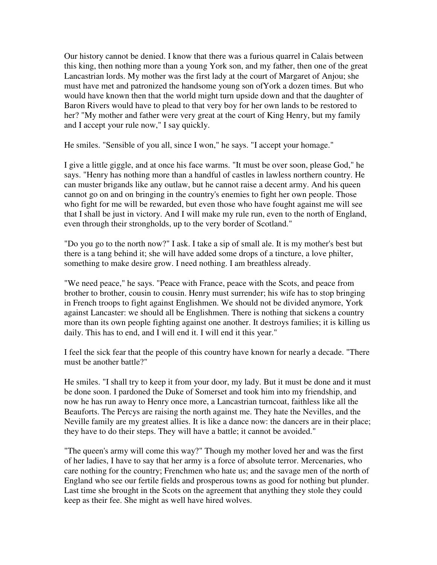Our history cannot be denied. I know that there was a furious quarrel in Calais between this king, then nothing more than a young York son, and my father, then one of the great Lancastrian lords. My mother was the first lady at the court of Margaret of Anjou; she must have met and patronized the handsome young son ofYork a dozen times. But who would have known then that the world might turn upside down and that the daughter of Baron Rivers would have to plead to that very boy for her own lands to be restored to her? "My mother and father were very great at the court of King Henry, but my family and I accept your rule now," I say quickly.

He smiles. "Sensible of you all, since I won," he says. "I accept your homage."

I give a little giggle, and at once his face warms. "It must be over soon, please God," he says. "Henry has nothing more than a handful of castles in lawless northern country. He can muster brigands like any outlaw, but he cannot raise a decent army. And his queen cannot go on and on bringing in the country's enemies to fight her own people. Those who fight for me will be rewarded, but even those who have fought against me will see that I shall be just in victory. And I will make my rule run, even to the north of England, even through their strongholds, up to the very border of Scotland."

"Do you go to the north now?" I ask. I take a sip of small ale. It is my mother's best but there is a tang behind it; she will have added some drops of a tincture, a love philter, something to make desire grow. I need nothing. I am breathless already.

"We need peace," he says. "Peace with France, peace with the Scots, and peace from brother to brother, cousin to cousin. Henry must surrender; his wife has to stop bringing in French troops to fight against Englishmen. We should not be divided anymore, York against Lancaster: we should all be Englishmen. There is nothing that sickens a country more than its own people fighting against one another. It destroys families; it is killing us daily. This has to end, and I will end it. I will end it this year."

I feel the sick fear that the people of this country have known for nearly a decade. "There must be another battle?"

He smiles. "I shall try to keep it from your door, my lady. But it must be done and it must be done soon. I pardoned the Duke of Somerset and took him into my friendship, and now he has run away to Henry once more, a Lancastrian turncoat, faithless like all the Beauforts. The Percys are raising the north against me. They hate the Nevilles, and the Neville family are my greatest allies. It is like a dance now: the dancers are in their place; they have to do their steps. They will have a battle; it cannot be avoided."

"The queen's army will come this way?" Though my mother loved her and was the first of her ladies, I have to say that her army is a force of absolute terror. Mercenaries, who care nothing for the country; Frenchmen who hate us; and the savage men of the north of England who see our fertile fields and prosperous towns as good for nothing but plunder. Last time she brought in the Scots on the agreement that anything they stole they could keep as their fee. She might as well have hired wolves.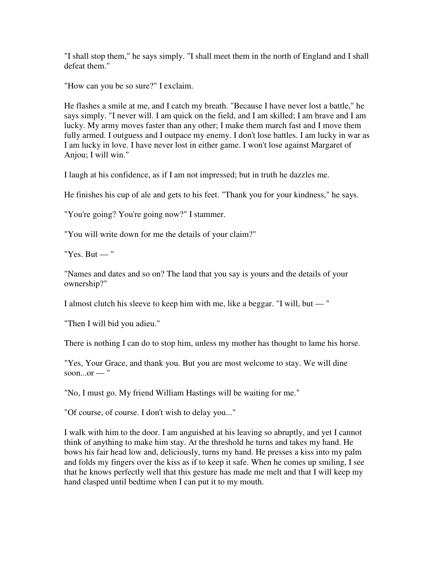"I shall stop them," he says simply. "I shall meet them in the north of England and I shall defeat them."

"How can you be so sure?" I exclaim.

He flashes a smile at me, and I catch my breath. "Because I have never lost a battle," he says simply. "I never will. I am quick on the field, and I am skilled; I am brave and I am lucky. My army moves faster than any other; I make them march fast and I move them fully armed. I outguess and I outpace my enemy. I don't lose battles. I am lucky in war as I am lucky in love. I have never lost in either game. I won't lose against Margaret of Anjou; I will win."

I laugh at his confidence, as if I am not impressed; but in truth he dazzles me.

He finishes his cup of ale and gets to his feet. "Thank you for your kindness," he says.

"You're going? You're going now?" I stammer.

"You will write down for me the details of your claim?"

"Yes. But — "

"Names and dates and so on? The land that you say is yours and the details of your ownership?"

I almost clutch his sleeve to keep him with me, like a beggar. "I will, but — "

"Then I will bid you adieu."

There is nothing I can do to stop him, unless my mother has thought to lame his horse.

"Yes, Your Grace, and thank you. But you are most welcome to stay. We will dine soon...or —  $"$ 

"No, I must go. My friend William Hastings will be waiting for me."

"Of course, of course. I don't wish to delay you..."

I walk with him to the door. I am anguished at his leaving so abruptly, and yet I cannot think of anything to make him stay. At the threshold he turns and takes my hand. He bows his fair head low and, deliciously, turns my hand. He presses a kiss into my palm and folds my fingers over the kiss as if to keep it safe. When he comes up smiling, I see that he knows perfectly well that this gesture has made me melt and that I will keep my hand clasped until bedtime when I can put it to my mouth.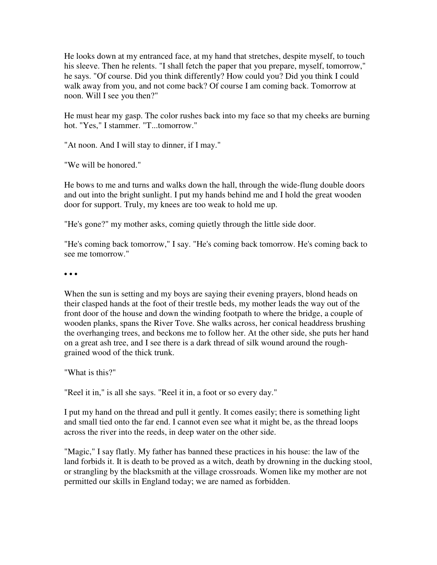He looks down at my entranced face, at my hand that stretches, despite myself, to touch his sleeve. Then he relents. "I shall fetch the paper that you prepare, myself, tomorrow," he says. "Of course. Did you think differently? How could you? Did you think I could walk away from you, and not come back? Of course I am coming back. Tomorrow at noon. Will I see you then?"

He must hear my gasp. The color rushes back into my face so that my cheeks are burning hot. "Yes," I stammer. "T...tomorrow."

"At noon. And I will stay to dinner, if I may."

"We will be honored."

He bows to me and turns and walks down the hall, through the wide-flung double doors and out into the bright sunlight. I put my hands behind me and I hold the great wooden door for support. Truly, my knees are too weak to hold me up.

"He's gone?" my mother asks, coming quietly through the little side door.

"He's coming back tomorrow," I say. "He's coming back tomorrow. He's coming back to see me tomorrow."

**• • •**

When the sun is setting and my boys are saying their evening prayers, blond heads on their clasped hands at the foot of their trestle beds, my mother leads the way out of the front door of the house and down the winding footpath to where the bridge, a couple of wooden planks, spans the River Tove. She walks across, her conical headdress brushing the overhanging trees, and beckons me to follow her. At the other side, she puts her hand on a great ash tree, and I see there is a dark thread of silk wound around the roughgrained wood of the thick trunk.

"What is this?"

"Reel it in," is all she says. "Reel it in, a foot or so every day."

I put my hand on the thread and pull it gently. It comes easily; there is something light and small tied onto the far end. I cannot even see what it might be, as the thread loops across the river into the reeds, in deep water on the other side.

"Magic," I say flatly. My father has banned these practices in his house: the law of the land forbids it. It is death to be proved as a witch, death by drowning in the ducking stool, or strangling by the blacksmith at the village crossroads. Women like my mother are not permitted our skills in England today; we are named as forbidden.